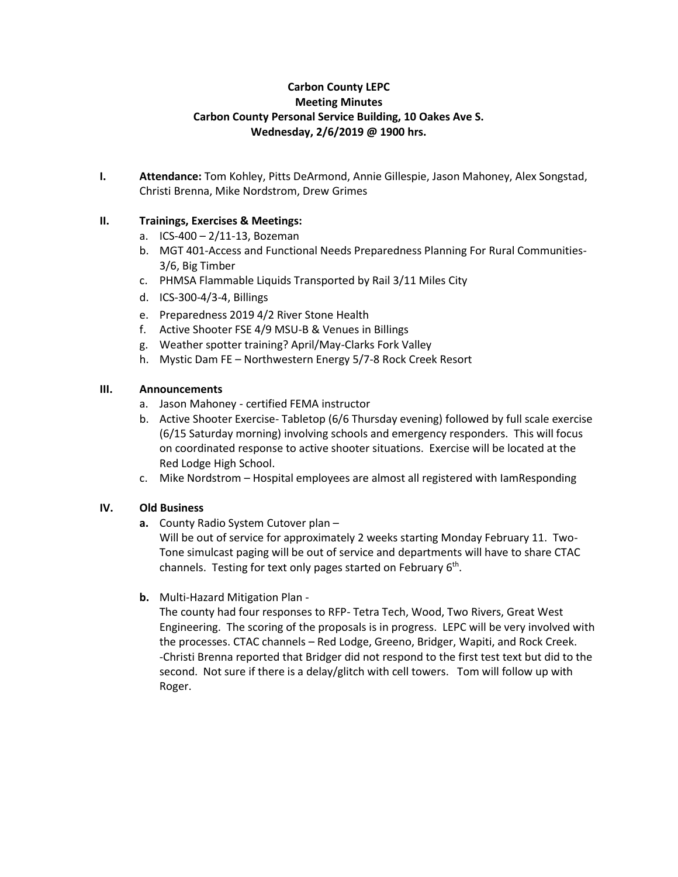# **Carbon County LEPC Meeting Minutes Carbon County Personal Service Building, 10 Oakes Ave S. Wednesday, 2/6/2019 @ 1900 hrs.**

**I. Attendance:** Tom Kohley, Pitts DeArmond, Annie Gillespie, Jason Mahoney, Alex Songstad, Christi Brenna, Mike Nordstrom, Drew Grimes

# **II. Trainings, Exercises & Meetings:**

- a. ICS-400 2/11-13, Bozeman
- b. MGT 401-Access and Functional Needs Preparedness Planning For Rural Communities-3/6, Big Timber
- c. PHMSA Flammable Liquids Transported by Rail 3/11 Miles City
- d. ICS-300-4/3-4, Billings
- e. Preparedness 2019 4/2 River Stone Health
- f. Active Shooter FSE 4/9 MSU-B & Venues in Billings
- g. Weather spotter training? April/May-Clarks Fork Valley
- h. Mystic Dam FE Northwestern Energy 5/7-8 Rock Creek Resort

### **III. Announcements**

- a. Jason Mahoney certified FEMA instructor
- b. Active Shooter Exercise- Tabletop (6/6 Thursday evening) followed by full scale exercise (6/15 Saturday morning) involving schools and emergency responders. This will focus on coordinated response to active shooter situations. Exercise will be located at the Red Lodge High School.
- c. Mike Nordstrom Hospital employees are almost all registered with IamResponding

# **IV. Old Business**

**a.** County Radio System Cutover plan –

Will be out of service for approximately 2 weeks starting Monday February 11. Two-Tone simulcast paging will be out of service and departments will have to share CTAC channels. Testing for text only pages started on February 6<sup>th</sup>.

**b.** Multi-Hazard Mitigation Plan -

The county had four responses to RFP- Tetra Tech, Wood, Two Rivers, Great West Engineering. The scoring of the proposals is in progress. LEPC will be very involved with the processes. CTAC channels – Red Lodge, Greeno, Bridger, Wapiti, and Rock Creek. -Christi Brenna reported that Bridger did not respond to the first test text but did to the second. Not sure if there is a delay/glitch with cell towers. Tom will follow up with Roger.